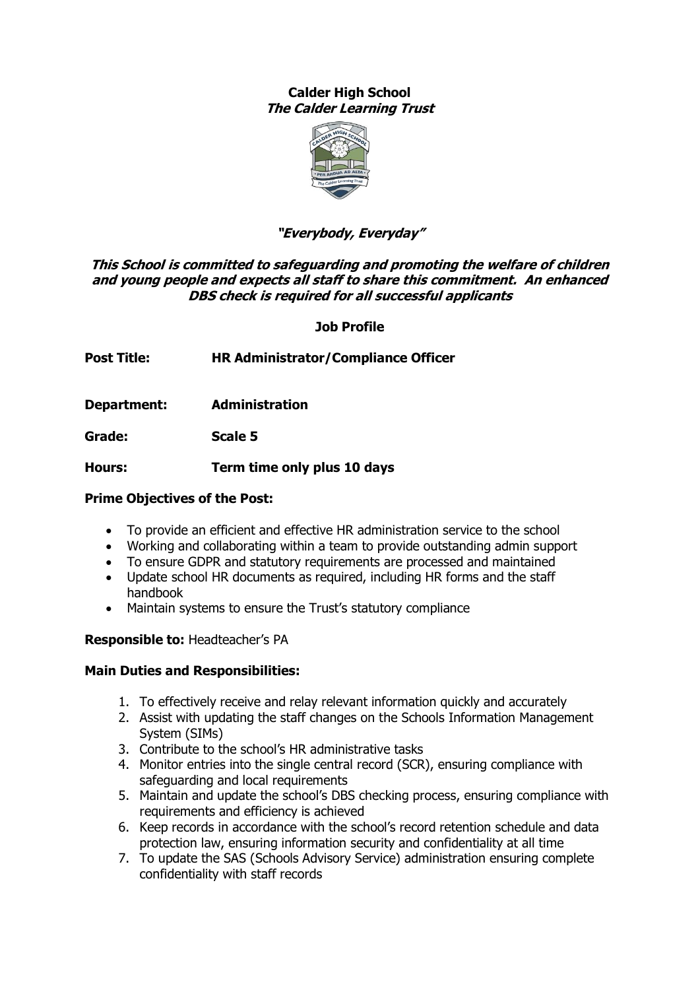# **Calder High School The Calder Learning Trust**



# **"Everybody, Everyday"**

# **This School is committed to safeguarding and promoting the welfare of children and young people and expects all staff to share this commitment. An enhanced DBS check is required for all successful applicants**

**Job Profile**

**Post Title: HR Administrator/Compliance Officer**

**Department: Administration**

**Grade: Scale 5** 

**Hours: Term time only plus 10 days**

## **Prime Objectives of the Post:**

- To provide an efficient and effective HR administration service to the school
- Working and collaborating within a team to provide outstanding admin support
- To ensure GDPR and statutory requirements are processed and maintained
- Update school HR documents as required, including HR forms and the staff handbook
- Maintain systems to ensure the Trust's statutory compliance

# **Responsible to:** Headteacher's PA

# **Main Duties and Responsibilities:**

- 1. To effectively receive and relay relevant information quickly and accurately
- 2. Assist with updating the staff changes on the Schools Information Management System (SIMs)
- 3. Contribute to the school's HR administrative tasks
- 4. Monitor entries into the single central record (SCR), ensuring compliance with safeguarding and local requirements
- 5. Maintain and update the school's DBS checking process, ensuring compliance with requirements and efficiency is achieved
- 6. Keep records in accordance with the school's record retention schedule and data protection law, ensuring information security and confidentiality at all time
- 7. To update the SAS (Schools Advisory Service) administration ensuring complete confidentiality with staff records